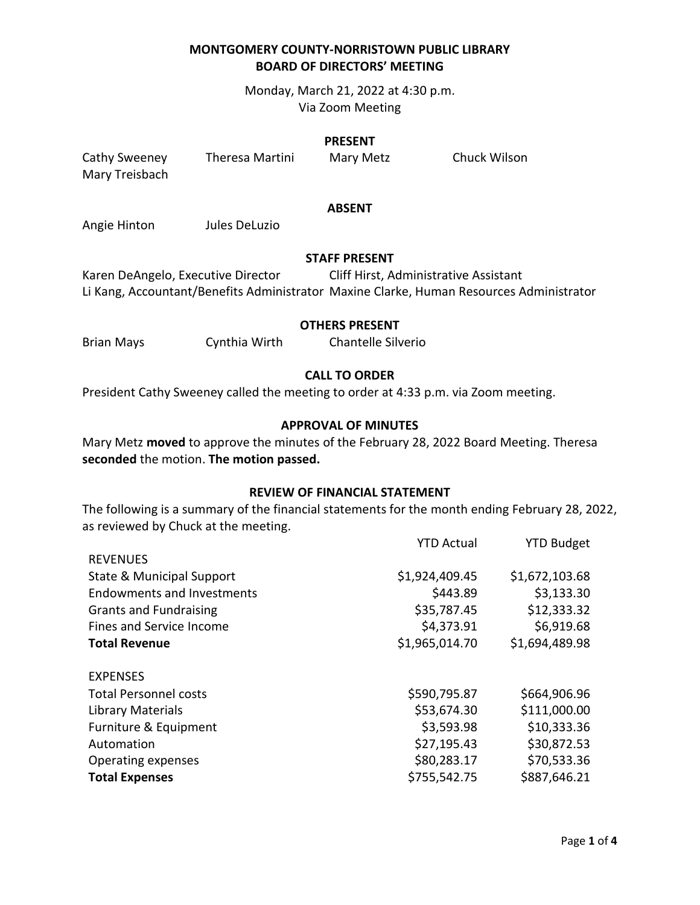Monday, March 21, 2022 at 4:30 p.m. Via Zoom Meeting

#### **PRESENT**

Mary Treisbach

Cathy Sweeney Theresa Martini Mary Metz Chuck Wilson

#### **ABSENT**

Angie Hinton Jules DeLuzio

#### **STAFF PRESENT**

Karen DeAngelo, Executive Director Cliff Hirst, Administrative Assistant Li Kang, Accountant/Benefits Administrator Maxine Clarke, Human Resources Administrator

#### **OTHERS PRESENT**

Brian Mays Cynthia Wirth Chantelle Silverio

### **CALL TO ORDER**

President Cathy Sweeney called the meeting to order at 4:33 p.m. via Zoom meeting.

### **APPROVAL OF MINUTES**

Mary Metz **moved** to approve the minutes of the February 28, 2022 Board Meeting. Theresa **seconded** the motion. **The motion passed.**

#### **REVIEW OF FINANCIAL STATEMENT**

The following is a summary of the financial statements for the month ending February 28, 2022, as reviewed by Chuck at the meeting.

|                                   | <b>YTD Actual</b> | <b>YTD Budget</b> |
|-----------------------------------|-------------------|-------------------|
| <b>REVENUES</b>                   |                   |                   |
| State & Municipal Support         | \$1,924,409.45    | \$1,672,103.68    |
| <b>Endowments and Investments</b> | \$443.89          | \$3,133.30        |
| <b>Grants and Fundraising</b>     | \$35,787.45       | \$12,333.32       |
| Fines and Service Income          | \$4,373.91        | \$6,919.68        |
| <b>Total Revenue</b>              | \$1,965,014.70    | \$1,694,489.98    |
|                                   |                   |                   |
| <b>EXPENSES</b>                   |                   |                   |
| <b>Total Personnel costs</b>      | \$590,795.87      | \$664,906.96      |
| Library Materials                 | \$53,674.30       | \$111,000.00      |
| Furniture & Equipment             | \$3,593.98        | \$10,333.36       |
| Automation                        | \$27,195.43       | \$30,872.53       |
| Operating expenses                | \$80,283.17       | \$70,533.36       |
| <b>Total Expenses</b>             | \$755,542.75      | \$887,646.21      |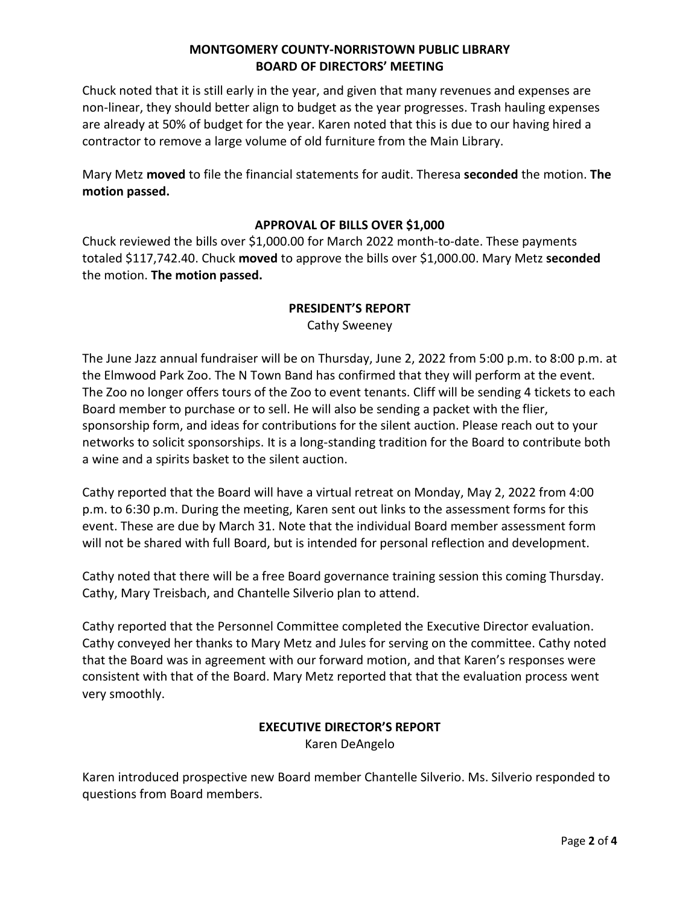Chuck noted that it is still early in the year, and given that many revenues and expenses are non-linear, they should better align to budget as the year progresses. Trash hauling expenses are already at 50% of budget for the year. Karen noted that this is due to our having hired a contractor to remove a large volume of old furniture from the Main Library.

Mary Metz **moved** to file the financial statements for audit. Theresa **seconded** the motion. **The motion passed.**

## **APPROVAL OF BILLS OVER \$1,000**

Chuck reviewed the bills over \$1,000.00 for March 2022 month-to-date. These payments totaled \$117,742.40. Chuck **moved** to approve the bills over \$1,000.00. Mary Metz **seconded** the motion. **The motion passed.**

### **PRESIDENT'S REPORT**

Cathy Sweeney

The June Jazz annual fundraiser will be on Thursday, June 2, 2022 from 5:00 p.m. to 8:00 p.m. at the Elmwood Park Zoo. The N Town Band has confirmed that they will perform at the event. The Zoo no longer offers tours of the Zoo to event tenants. Cliff will be sending 4 tickets to each Board member to purchase or to sell. He will also be sending a packet with the flier, sponsorship form, and ideas for contributions for the silent auction. Please reach out to your networks to solicit sponsorships. It is a long-standing tradition for the Board to contribute both a wine and a spirits basket to the silent auction.

Cathy reported that the Board will have a virtual retreat on Monday, May 2, 2022 from 4:00 p.m. to 6:30 p.m. During the meeting, Karen sent out links to the assessment forms for this event. These are due by March 31. Note that the individual Board member assessment form will not be shared with full Board, but is intended for personal reflection and development.

Cathy noted that there will be a free Board governance training session this coming Thursday. Cathy, Mary Treisbach, and Chantelle Silverio plan to attend.

Cathy reported that the Personnel Committee completed the Executive Director evaluation. Cathy conveyed her thanks to Mary Metz and Jules for serving on the committee. Cathy noted that the Board was in agreement with our forward motion, and that Karen's responses were consistent with that of the Board. Mary Metz reported that that the evaluation process went very smoothly.

# **EXECUTIVE DIRECTOR'S REPORT**

Karen DeAngelo

Karen introduced prospective new Board member Chantelle Silverio. Ms. Silverio responded to questions from Board members.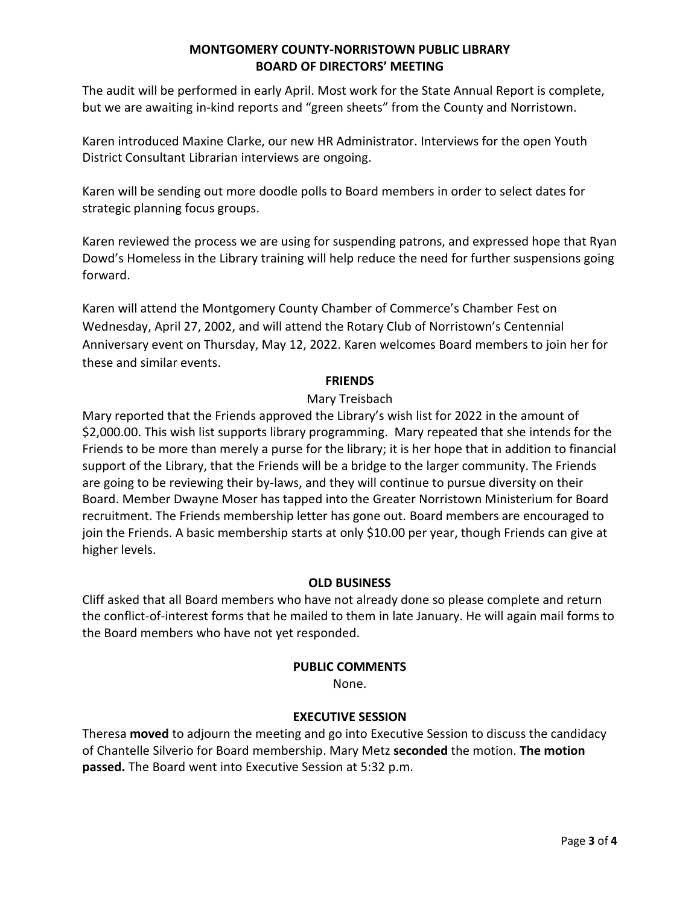The audit will be performed in early April. Most work for the State Annual Report is complete, but we are awaiting in-kind reports and "green sheets" from the County and Norristown.

Karen introduced Maxine Clarke, our new HR Administrator. Interviews for the open Youth District Consultant Librarian interviews are ongoing.

Karen will be sending out more doodle polls to Board members in order to select dates for strategic planning focus groups.

Karen reviewed the process we are using for suspending patrons, and expressed hope that Ryan Dowd's Homeless in the Library training will help reduce the need for further suspensions going forward.

Karen will attend the Montgomery County Chamber of Commerce's Chamber Fest on Wednesday, April 27, 2002, and will attend the Rotary Club of Norristown's Centennial Anniversary event on Thursday, May 12, 2022. Karen welcomes Board members to join her for these and similar events.

## **FRIENDS**

# Mary Treisbach

Mary reported that the Friends approved the Library's wish list for 2022 in the amount of \$2,000.00. This wish list supports library programming. Mary repeated that she intends for the Friends to be more than merely a purse for the library; it is her hope that in addition to financial support of the Library, that the Friends will be a bridge to the larger community. The Friends are going to be reviewing their by-laws, and they will continue to pursue diversity on their Board. Member Dwayne Moser has tapped into the Greater Norristown Ministerium for Board recruitment. The Friends membership letter has gone out. Board members are encouraged to join the Friends. A basic membership starts at only \$10.00 per year, though Friends can give at higher levels.

## **OLD BUSINESS**

Cliff asked that all Board members who have not already done so please complete and return the conflict-of-interest forms that he mailed to them in late January. He will again mail forms to the Board members who have not yet responded.

## **PUBLIC COMMENTS**

None.

# **EXECUTIVE SESSION**

Theresa **moved** to adjourn the meeting and go into Executive Session to discuss the candidacy of Chantelle Silverio for Board membership. Mary Metz **seconded** the motion. **The motion passed.** The Board went into Executive Session at 5:32 p.m.